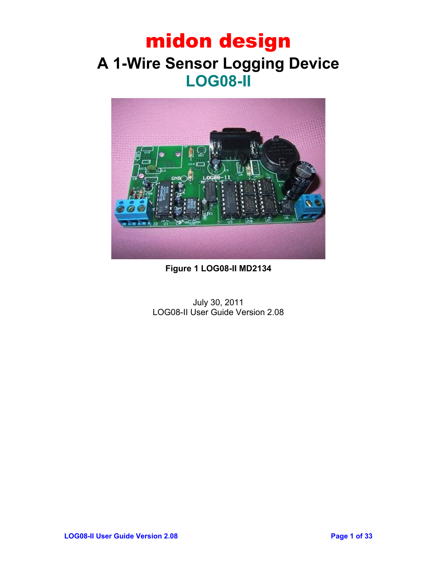## midon design **A 1-Wire Sensor Logging Device LOG08-II**



**Figure 1 LOG08-II MD2134**

July 30, 2011 LOG08-II User Guide Version 2.08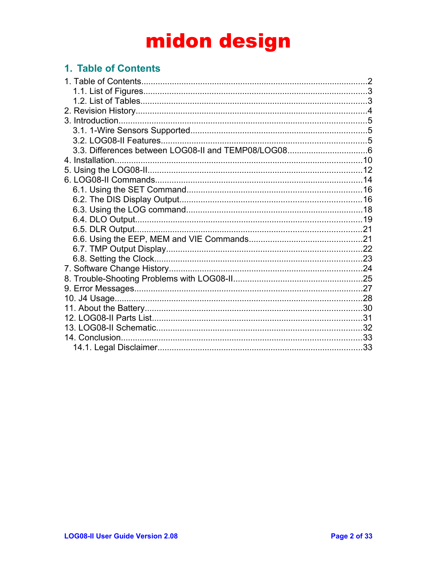## 1. Table of Contents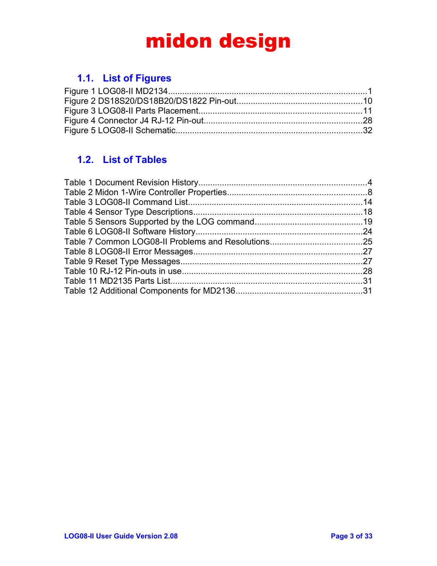## **1.1. List of Figures**

## **1.2. List of Tables**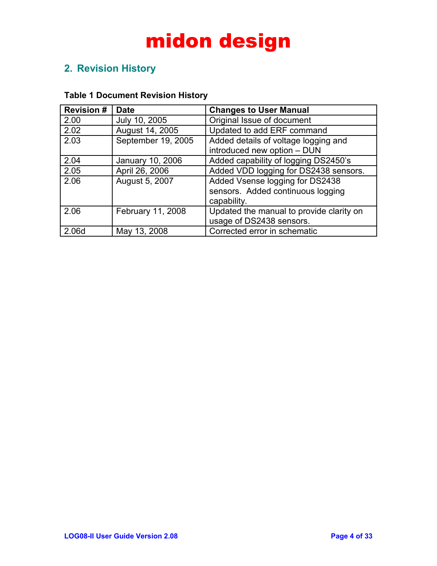## **2. Revision History**

| <b>Revision #</b> | <b>Date</b>        | <b>Changes to User Manual</b>            |
|-------------------|--------------------|------------------------------------------|
| 2.00              | July 10, 2005      | Original Issue of document               |
| 2.02              | August 14, 2005    | Updated to add ERF command               |
| 2.03              | September 19, 2005 | Added details of voltage logging and     |
|                   |                    | introduced new option - DUN              |
| 2.04              | January 10, 2006   | Added capability of logging DS2450's     |
| 2.05              | April 26, 2006     | Added VDD logging for DS2438 sensors.    |
| 2.06              | August 5, 2007     | Added Vsense logging for DS2438          |
|                   |                    | sensors. Added continuous logging        |
|                   |                    | capability.                              |
| 2.06              | February 11, 2008  | Updated the manual to provide clarity on |
|                   |                    | usage of DS2438 sensors.                 |
| 2.06d             | May 13, 2008       | Corrected error in schematic             |

### **Table 1 Document Revision History**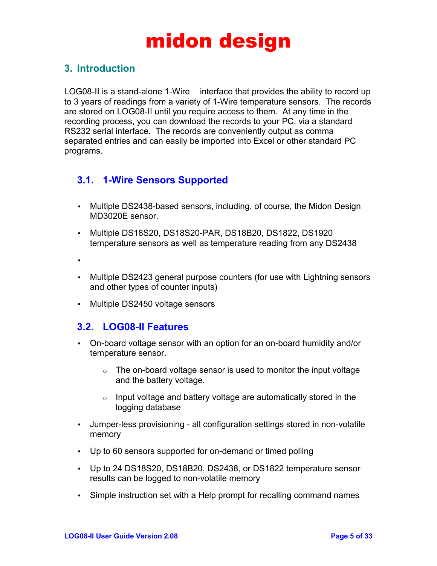## **3. Introduction**

LOG08-II is a stand-alone 1-Wire<sup> $m$ </sup> interface that provides the ability to record up to 3 years of readings from a variety of 1-Wire temperature sensors. The records are stored on LOG08-II until you require access to them. At any time in the recording process, you can download the records to your PC, via a standard RS232 serial interface. The records are conveniently output as comma separated entries and can easily be imported into Excel or other standard PC programs.

## **3.1. 1-Wire Sensors Supported**

- Multiple DS2438-based sensors, including, of course, the Midon Design MD3020E sensor.
- Multiple DS18S20, DS18S20-PAR, DS18B20, DS1822, DS1920 temperature sensors as well as temperature reading from any DS2438
- •
- Multiple DS2423 general purpose counters (for use with Lightning sensors and other types of counter inputs)
- Multiple DS2450 voltage sensors

### **3.2. LOG08-II Features**

- On-board voltage sensor with an option for an on-board humidity and/or temperature sensor.
	- $\circ$  The on-board voltage sensor is used to monitor the input voltage and the battery voltage.
	- $\circ$  Input voltage and battery voltage are automatically stored in the logging database
- Jumper-less provisioning all configuration settings stored in non-volatile memory
- Up to 60 sensors supported for on-demand or timed polling
- Up to 24 DS18S20, DS18B20, DS2438, or DS1822 temperature sensor results can be logged to non-volatile memory
- Simple instruction set with a Help prompt for recalling command names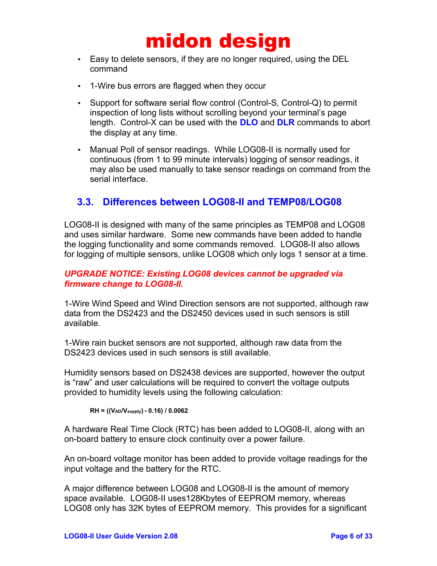- Easy to delete sensors, if they are no longer required, using the DEL command
- 1-Wire bus errors are flagged when they occur
- Support for software serial flow control (Control-S, Control-Q) to permit inspection of long lists without scrolling beyond your terminal's page length. Control-X can be used with the **DLO** and **DLR** commands to abort the display at any time.
- Manual Poll of sensor readings. While LOG08-II is normally used for continuous (from 1 to 99 minute intervals) logging of sensor readings, it may also be used manually to take sensor readings on command from the serial interface.

### **3.3. Differences between LOG08-II and TEMP08/LOG08**

LOG08-II is designed with many of the same principles as TEMP08 and LOG08 and uses similar hardware. Some new commands have been added to handle the logging functionality and some commands removed. LOG08-II also allows for logging of multiple sensors, unlike LOG08 which only logs 1 sensor at a time.

### *UPGRADE NOTICE: Existing LOG08 devices cannot be upgraded via firmware change to LOG08-II.*

1-Wire Wind Speed and Wind Direction sensors are not supported, although raw data from the DS2423 and the DS2450 devices used in such sensors is still available.

1-Wire rain bucket sensors are not supported, although raw data from the DS2423 devices used in such sensors is still available.

Humidity sensors based on DS2438 devices are supported, however the output is "raw" and user calculations will be required to convert the voltage outputs provided to humidity levels using the following calculation:

**RH = ((VAD/Vsupply) - 0.16) / 0.0062**

A hardware Real Time Clock (RTC) has been added to LOG08-II, along with an on-board battery to ensure clock continuity over a power failure.

An on-board voltage monitor has been added to provide voltage readings for the input voltage and the battery for the RTC.

A major difference between LOG08 and LOG08-II is the amount of memory space available. LOG08-II uses128Kbytes of EEPROM memory, whereas LOG08 only has 32K bytes of EEPROM memory. This provides for a significant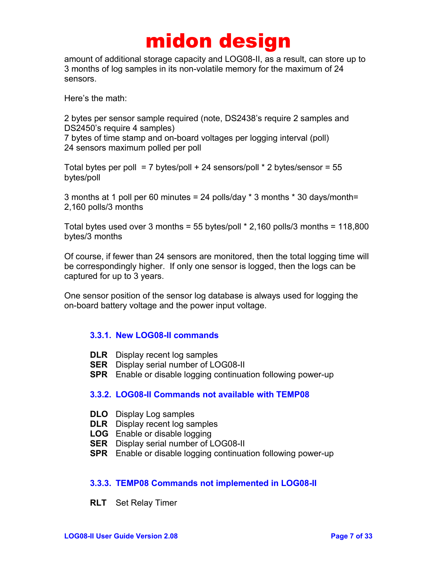amount of additional storage capacity and LOG08-II, as a result, can store up to 3 months of log samples in its non-volatile memory for the maximum of 24 sensors.

Here's the math:

2 bytes per sensor sample required (note, DS2438's require 2 samples and DS2450's require 4 samples)

7 bytes of time stamp and on-board voltages per logging interval (poll) 24 sensors maximum polled per poll

Total bytes per poll = 7 bytes/poll + 24 sensors/poll \* 2 bytes/sensor = 55 bytes/poll

3 months at 1 poll per 60 minutes = 24 polls/day  $*$  3 months  $*$  30 days/month= 2,160 polls/3 months

Total bytes used over 3 months = 55 bytes/poll  $*$  2,160 polls/3 months = 118,800 bytes/3 months

Of course, if fewer than 24 sensors are monitored, then the total logging time will be correspondingly higher. If only one sensor is logged, then the logs can be captured for up to 3 years.

One sensor position of the sensor log database is always used for logging the on-board battery voltage and the power input voltage.

### **3.3.1. New LOG08-II commands**

- **DLR** Display recent log samples
- **SER** Display serial number of LOG08-II
- **SPR** Enable or disable logging continuation following power-up

### **3.3.2. LOG08-II Commands not available with TEMP08**

- **DLO** Display Log samples
- **DLR** Display recent log samples
- **LOG** Enable or disable logging
- **SER** Display serial number of LOG08-II
- **SPR** Enable or disable logging continuation following power-up

### **3.3.3. TEMP08 Commands not implemented in LOG08-II**

**RLT** Set Relay Timer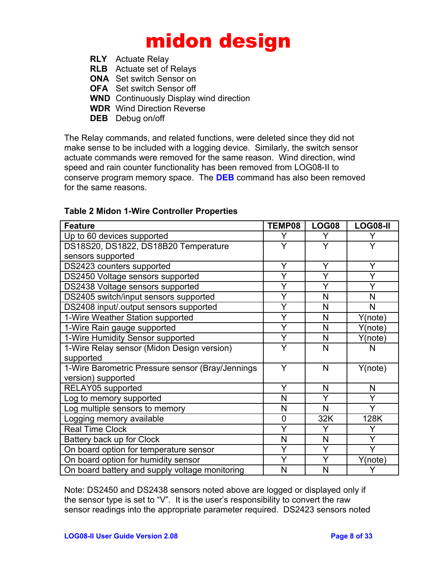- **RLY** Actuate Relay
- **RLB** Actuate set of Relays
- **ONA** Set switch Sensor on
- **OFA** Set switch Sensor off
- **WND** Continuously Display wind direction
- **WDR** Wind Direction Reverse
- **DEB** Debug on/off

The Relay commands, and related functions, were deleted since they did not make sense to be included with a logging device. Similarly, the switch sensor actuate commands were removed for the same reason. Wind direction, wind speed and rain counter functionality has been removed from LOG08-II to conserve program memory space. The **DEB** command has also been removed for the same reasons.

| <b>Feature</b>                                   | TEMP08         | <b>LOG08</b> | <b>LOG08-II</b> |
|--------------------------------------------------|----------------|--------------|-----------------|
| Up to 60 devices supported                       | Y              | Y            | Y               |
| DS18S20, DS1822, DS18B20 Temperature             | Y              | Y            | Y               |
| sensors supported                                |                |              |                 |
| DS2423 counters supported                        | Y              | Y            | Y               |
| DS2450 Voltage sensors supported                 | Y              | Y            | Y               |
| DS2438 Voltage sensors supported                 | Y              | Y            | Y               |
| DS2405 switch/input sensors supported            | Y              | N            | N               |
| DS2408 input/.output sensors supported           | Y              | N            | N               |
| 1-Wire Weather Station supported                 | Y              | N            | Y(note)         |
| 1-Wire Rain gauge supported                      | Y              | N            | Y(note)         |
| 1-Wire Humidity Sensor supported                 | Ÿ              | N            | Y(note)         |
| 1-Wire Relay sensor (Midon Design version)       | Y              | N            | N               |
| supported                                        |                |              |                 |
| 1-Wire Barometric Pressure sensor (Bray/Jennings | Y              | N            | Y(note)         |
| version) supported                               |                |              |                 |
| RELAY05 supported                                | Y              | N            | N               |
| Log to memory supported                          | N              | Y            | Y               |
| Log multiple sensors to memory                   | N              | N            | Y               |
| Logging memory available                         | $\overline{0}$ | 32K          | 128K            |
| <b>Real Time Clock</b>                           | Ý              | Y            | Y               |
| Battery back up for Clock                        | N              | N            | Y               |
| On board option for temperature sensor           | Ÿ              | Y            | Y               |
| On board option for humidity sensor              | Ý              | Y            | Y(note)         |
| On board battery and supply voltage monitoring   | N              | N            |                 |

### **Table 2 Midon 1-Wire Controller Properties**

Note: DS2450 and DS2438 sensors noted above are logged or displayed only if the sensor type is set to "V". It is the user's responsibility to convert the raw sensor readings into the appropriate parameter required. DS2423 sensors noted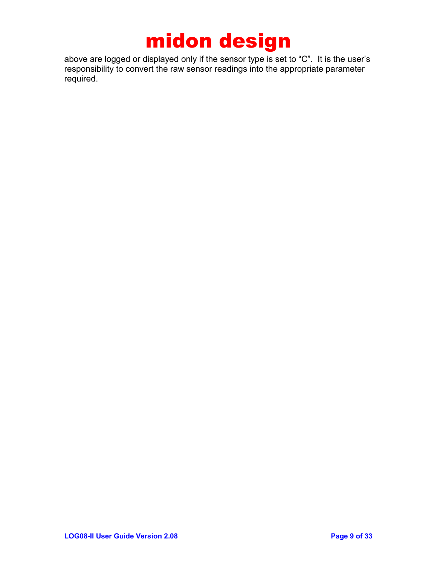above are logged or displayed only if the sensor type is set to "C". It is the user's responsibility to convert the raw sensor readings into the appropriate parameter required.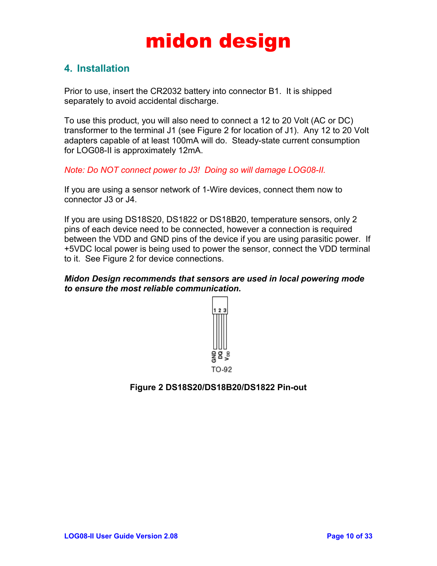## **4. Installation**

Prior to use, insert the CR2032 battery into connector B1. It is shipped separately to avoid accidental discharge.

To use this product, you will also need to connect a 12 to 20 Volt (AC or DC) transformer to the terminal J1 (see Figure 2 for location of J1). Any 12 to 20 Volt adapters capable of at least 100mA will do. Steady-state current consumption for LOG08-II is approximately 12mA.

*Note: Do NOT connect power to J3! Doing so will damage LOG08-II.*

If you are using a sensor network of 1-Wire devices, connect them now to connector J3 or J4.

If you are using DS18S20, DS1822 or DS18B20, temperature sensors, only 2 pins of each device need to be connected, however a connection is required between the VDD and GND pins of the device if you are using parasitic power. If +5VDC local power is being used to power the sensor, connect the VDD terminal to it. See Figure 2 for device connections.

#### *Midon Design recommends that sensors are used in local powering mode to ensure the most reliable communication.*



### **Figure 2 DS18S20/DS18B20/DS1822 Pin-out**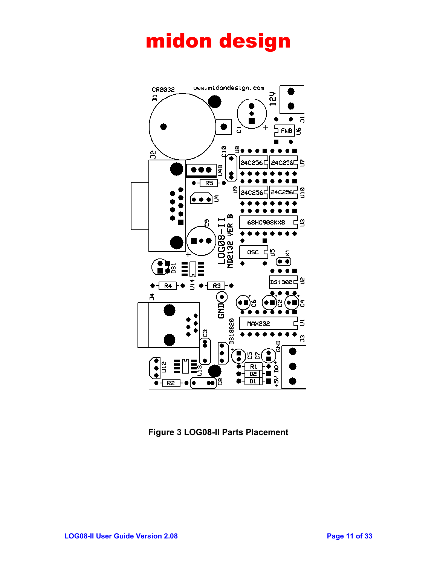

**Figure 3 LOG08-II Parts Placement**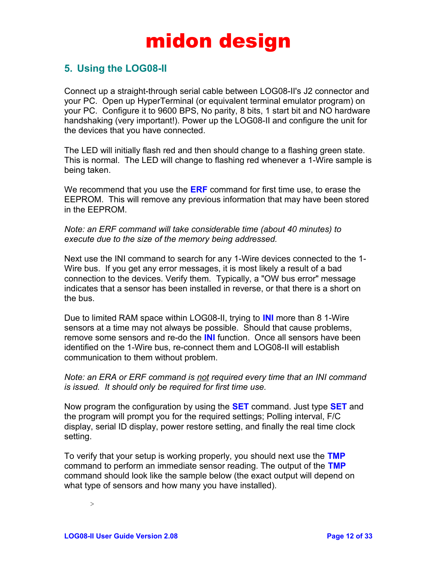## **5. Using the LOG08-II**

Connect up a straight-through serial cable between LOG08-II's J2 connector and your PC. Open up HyperTerminal (or equivalent terminal emulator program) on your PC. Configure it to 9600 BPS, No parity, 8 bits, 1 start bit and NO hardware handshaking (very important!). Power up the LOG08-II and configure the unit for the devices that you have connected.

The LED will initially flash red and then should change to a flashing green state. This is normal. The LED will change to flashing red whenever a 1-Wire sample is being taken.

We recommend that you use the **ERF** command for first time use, to erase the EEPROM. This will remove any previous information that may have been stored in the EEPROM.

*Note: an ERF command will take considerable time (about 40 minutes) to execute due to the size of the memory being addressed.*

Next use the INI command to search for any 1-Wire devices connected to the 1- Wire bus. If you get any error messages, it is most likely a result of a bad connection to the devices. Verify them. Typically, a "OW bus error" message indicates that a sensor has been installed in reverse, or that there is a short on the bus.

Due to limited RAM space within LOG08-II, trying to **INI** more than 8 1-Wire sensors at a time may not always be possible. Should that cause problems, remove some sensors and re-do the **INI** function. Once all sensors have been identified on the 1-Wire bus, re-connect them and LOG08-II will establish communication to them without problem.

*Note: an ERA or ERF command is not required every time that an INI command is issued. It should only be required for first time use.*

Now program the configuration by using the **SET** command. Just type **SET** and the program will prompt you for the required settings; Polling interval, F/C display, serial ID display, power restore setting, and finally the real time clock setting.

To verify that your setup is working properly, you should next use the **TMP** command to perform an immediate sensor reading. The output of the **TMP** command should look like the sample below (the exact output will depend on what type of sensors and how many you have installed).

 $\rightarrow$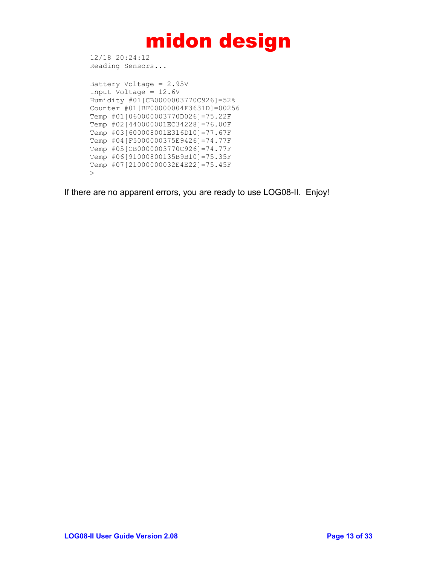```
12/18 20:24:12
Reading Sensors...
```

```
Battery Voltage = 2.95V
Input Voltage = 12.6V
Humidity #01[CB0000003770C926]=52%
Counter #01[BF00000004F3631D]=00256
Temp #01[060000003770D026]=75.22F
Temp #02[440000001EC34228]=76.00F
Temp #03[600008001E316D10]=77.67F
Temp #04[F5000000375E9426]=74.77F
Temp #05[CB0000003770C926]=74.77F
Temp #06[91000800135B9B10]=75.35F
Temp #07[21000000032E4E22]=75.45F
\geq
```
If there are no apparent errors, you are ready to use LOG08-II. Enjoy!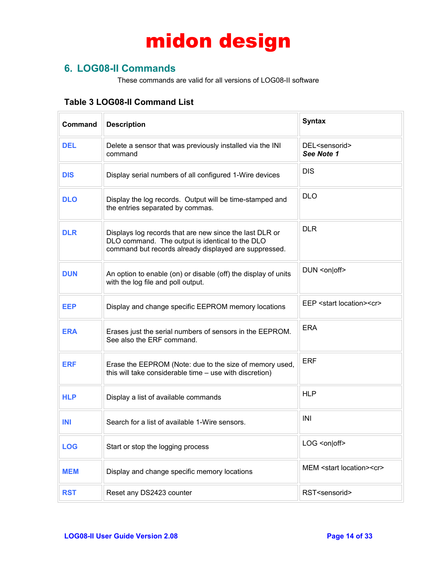## **6. LOG08-II Commands**

These commands are valid for all versions of LOG08-II software

### **Table 3 LOG08-II Command List**

| Command    | <b>Description</b>                                                                                                                                                  | <b>Syntax</b>                            |
|------------|---------------------------------------------------------------------------------------------------------------------------------------------------------------------|------------------------------------------|
| <b>DEL</b> | Delete a sensor that was previously installed via the INI<br>command                                                                                                | DEL <sensorid><br/>See Note 1</sensorid> |
| <b>DIS</b> | Display serial numbers of all configured 1-Wire devices                                                                                                             | <b>DIS</b>                               |
| <b>DLO</b> | Display the log records. Output will be time-stamped and<br>the entries separated by commas.                                                                        | <b>DLO</b>                               |
| <b>DLR</b> | Displays log records that are new since the last DLR or<br>DLO command. The output is identical to the DLO<br>command but records already displayed are suppressed. | <b>DLR</b>                               |
| <b>DUN</b> | An option to enable (on) or disable (off) the display of units<br>with the log file and poll output.                                                                | DUN <on off></on off>                    |
| <b>EEP</b> | Display and change specific EEPROM memory locations                                                                                                                 | EEP <start location=""><cr></cr></start> |
| <b>ERA</b> | Erases just the serial numbers of sensors in the EEPROM.<br>See also the ERF command.                                                                               | <b>ERA</b>                               |
| <b>ERF</b> | Erase the EEPROM (Note: due to the size of memory used,<br>this will take considerable time - use with discretion)                                                  | <b>ERF</b>                               |
| <b>HLP</b> | Display a list of available commands                                                                                                                                | <b>HLP</b>                               |
| INI        | Search for a list of available 1-Wire sensors.                                                                                                                      | INI                                      |
| <b>LOG</b> | Start or stop the logging process                                                                                                                                   | LOG <on off></on off>                    |
| <b>MEM</b> | Display and change specific memory locations                                                                                                                        | MEM <start location=""><cr></cr></start> |
| <b>RST</b> | Reset any DS2423 counter                                                                                                                                            | RST <sensorid></sensorid>                |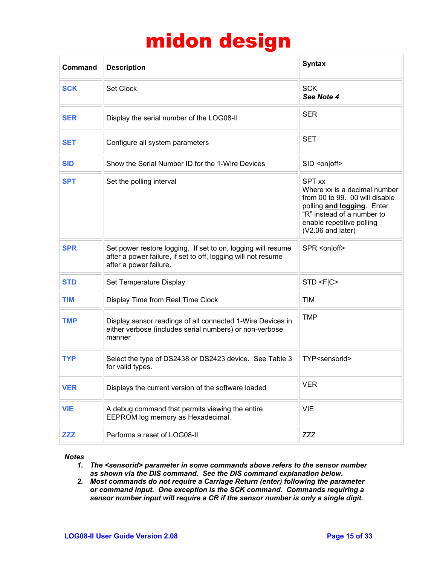| Command    | <b>Description</b>                                                                                                                                      | <b>Syntax</b>                                                                                                                                                                          |
|------------|---------------------------------------------------------------------------------------------------------------------------------------------------------|----------------------------------------------------------------------------------------------------------------------------------------------------------------------------------------|
| <b>SCK</b> | <b>Set Clock</b>                                                                                                                                        | <b>SCK</b><br>See Note 4                                                                                                                                                               |
| <b>SER</b> | Display the serial number of the LOG08-II                                                                                                               | <b>SER</b>                                                                                                                                                                             |
| <b>SET</b> | Configure all system parameters                                                                                                                         | <b>SET</b>                                                                                                                                                                             |
| <b>SID</b> | Show the Serial Number ID for the 1-Wire Devices                                                                                                        | SID <on off></on off>                                                                                                                                                                  |
| <b>SPT</b> | Set the polling interval                                                                                                                                | SPT xx<br>Where xx is a decimal number<br>from 00 to 99. 00 will disable<br>polling and logging. Enter<br>"R" instead of a number to<br>enable repetitive polling<br>(V2.06 and later) |
| <b>SPR</b> | Set power restore logging. If set to on, logging will resume<br>after a power failure, if set to off, logging will not resume<br>after a power failure. | SPR <on off></on off>                                                                                                                                                                  |
| <b>STD</b> | Set Temperature Display                                                                                                                                 | STD < F C                                                                                                                                                                              |
| <b>TIM</b> | Display Time from Real Time Clock                                                                                                                       | <b>TIM</b>                                                                                                                                                                             |
| <b>TMP</b> | Display sensor readings of all connected 1-Wire Devices in<br>either verbose (includes serial numbers) or non-verbose<br>manner                         | <b>TMP</b>                                                                                                                                                                             |
| <b>TYP</b> | Select the type of DS2438 or DS2423 device. See Table 3<br>for valid types.                                                                             | TYP <sensorid></sensorid>                                                                                                                                                              |
| <b>VER</b> | Displays the current version of the software loaded                                                                                                     | <b>VER</b>                                                                                                                                                                             |
| <b>VIE</b> | A debug command that permits viewing the entire<br>EEPROM log memory as Hexadecimal.                                                                    | <b>VIE</b>                                                                                                                                                                             |
| <b>ZZZ</b> | Performs a reset of LOG08-II                                                                                                                            | <b>ZZZ</b>                                                                                                                                                                             |

#### *Notes*

- *1. The <sensorid> parameter in some commands above refers to the sensor number as shown via the DIS command. See the DIS command explanation below.*
- *2. Most commands do not require a Carriage Return (enter) following the parameter or command input. One exception is the SCK command. Commands requiring a sensor number input will require a CR if the sensor number is only a single digit.*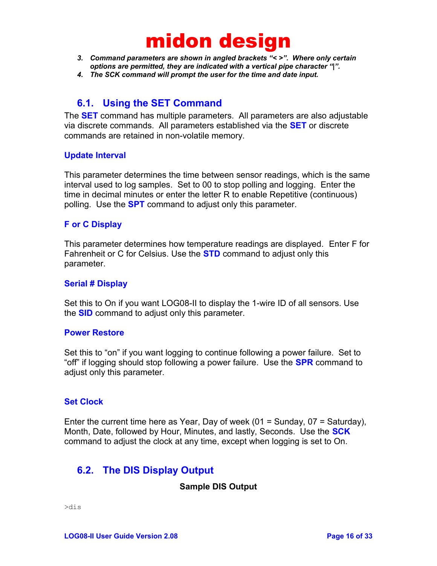- *3. Command parameters are shown in angled brackets "< >". Where only certain options are permitted, they are indicated with a vertical pipe character "|".*
- *4. The SCK command will prompt the user for the time and date input.*

### **6.1. Using the SET Command**

The **SET** command has multiple parameters. All parameters are also adjustable via discrete commands. All parameters established via the **SET** or discrete commands are retained in non-volatile memory.

#### **Update Interval**

This parameter determines the time between sensor readings, which is the same interval used to log samples. Set to 00 to stop polling and logging. Enter the time in decimal minutes or enter the letter R to enable Repetitive (continuous) polling. Use the **SPT** command to adjust only this parameter.

#### **F or C Display**

This parameter determines how temperature readings are displayed. Enter F for Fahrenheit or C for Celsius. Use the **STD** command to adjust only this parameter.

#### **Serial # Display**

Set this to On if you want LOG08-II to display the 1-wire ID of all sensors. Use the **SID** command to adjust only this parameter.

#### **Power Restore**

Set this to "on" if you want logging to continue following a power failure. Set to "off" if logging should stop following a power failure. Use the **SPR** command to adjust only this parameter.

#### **Set Clock**

Enter the current time here as Year, Day of week  $(01 =$  Sunday,  $07 =$  Saturday), Month, Date, followed by Hour, Minutes, and lastly, Seconds. Use the **SCK** command to adjust the clock at any time, except when logging is set to On.

### **6.2. The DIS Display Output**

### **Sample DIS Output**

>dis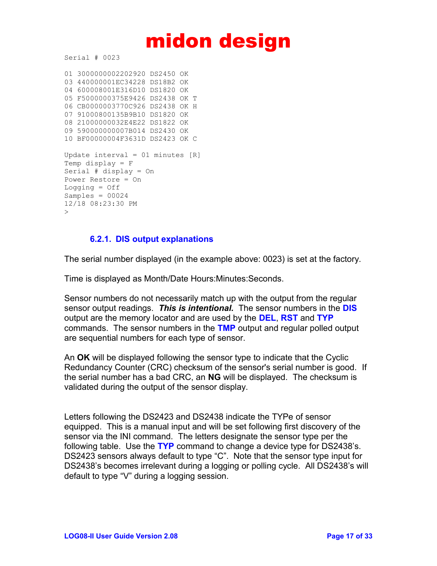Serial # 0023

```
01 3000000002202920 DS2450 OK 
03 440000001EC34228 DS18B2 OK 
04 600008001E316D10 DS1820 OK 
05 F5000000375E9426 DS2438 OK T
06 CB0000003770C926 DS2438 OK H
07 91000800135B9B10 DS1820 OK 
08 21000000032E4E22 DS1822 OK 
09 590000000007B014 DS2430 OK 
10 BF00000004F3631D DS2423 OK C
Update interval = 01 minutes [R]Temp display = FSerial # display = On
Power Restore = On
Logging = Off
Samples = 0002412/18 08:23:30 PM
\rightarrow
```
#### **6.2.1. DIS output explanations**

The serial number displayed (in the example above: 0023) is set at the factory.

Time is displayed as Month/Date Hours:Minutes:Seconds.

Sensor numbers do not necessarily match up with the output from the regular sensor output readings. *This is intentional.* The sensor numbers in the **DIS** output are the memory locator and are used by the **DEL**, **RST** and **TYP** commands. The sensor numbers in the **TMP** output and regular polled output are sequential numbers for each type of sensor.

An **OK** will be displayed following the sensor type to indicate that the Cyclic Redundancy Counter (CRC) checksum of the sensor's serial number is good. If the serial number has a bad CRC, an **NG** will be displayed. The checksum is validated during the output of the sensor display.

Letters following the DS2423 and DS2438 indicate the TYPe of sensor equipped. This is a manual input and will be set following first discovery of the sensor via the INI command. The letters designate the sensor type per the following table. Use the **TYP** command to change a device type for DS2438's. DS2423 sensors always default to type "C". Note that the sensor type input for DS2438's becomes irrelevant during a logging or polling cycle. All DS2438's will default to type "V" during a logging session.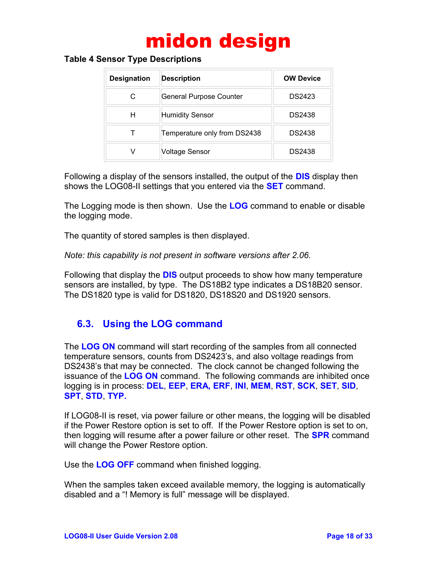#### **Table 4 Sensor Type Descriptions**

| <b>Designation</b> | <b>Description</b>             | <b>OW Device</b> |
|--------------------|--------------------------------|------------------|
| C                  | <b>General Purpose Counter</b> | DS2423           |
| н                  | <b>Humidity Sensor</b>         | <b>DS2438</b>    |
|                    | Temperature only from DS2438   | DS2438           |
|                    | <b>Voltage Sensor</b>          | DS2438           |

Following a display of the sensors installed, the output of the **DIS** display then shows the LOG08-II settings that you entered via the **SET** command.

The Logging mode is then shown. Use the **LOG** command to enable or disable the logging mode.

The quantity of stored samples is then displayed.

*Note: this capability is not present in software versions after 2.06.*

Following that display the **DIS** output proceeds to show how many temperature sensors are installed, by type. The DS18B2 type indicates a DS18B20 sensor. The DS1820 type is valid for DS1820, DS18S20 and DS1920 sensors.

### **6.3. Using the LOG command**

The **LOG ON** command will start recording of the samples from all connected temperature sensors, counts from DS2423's, and also voltage readings from DS2438's that may be connected. The clock cannot be changed following the issuance of the **LOG ON** command. The following commands are inhibited once logging is in process: **DEL**, **EEP**, **ERA, ERF**, **INI**, **MEM**, **RST**, **SCK**, **SET**, **SID**, **SPT**, **STD**, **TYP.**

If LOG08-II is reset, via power failure or other means, the logging will be disabled if the Power Restore option is set to off. If the Power Restore option is set to on, then logging will resume after a power failure or other reset. The **SPR** command will change the Power Restore option.

Use the **LOG OFF** command when finished logging.

When the samples taken exceed available memory, the logging is automatically disabled and a "! Memory is full" message will be displayed.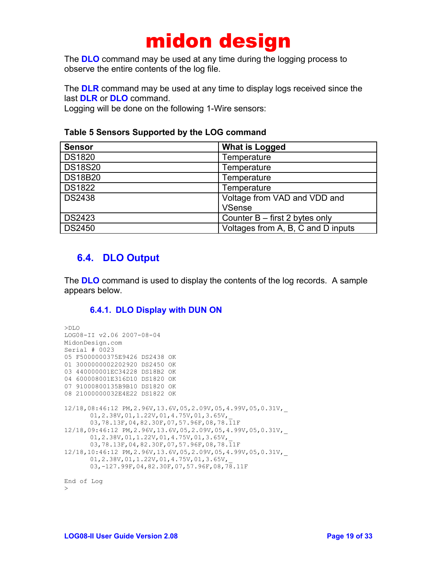The **DLO** command may be used at any time during the logging process to observe the entire contents of the log file.

The **DLR** command may be used at any time to display logs received since the last **DLR** or **DLO** command.

Logging will be done on the following 1-Wire sensors:

| Table 5 Sensors Supported by the LOG command |  |  |  |
|----------------------------------------------|--|--|--|
|----------------------------------------------|--|--|--|

| <b>Sensor</b>  | What is Logged                     |
|----------------|------------------------------------|
| <b>DS1820</b>  | Temperature                        |
| <b>DS18S20</b> | Temperature                        |
| <b>DS18B20</b> | Temperature                        |
| DS1822         | Temperature                        |
| DS2438         | Voltage from VAD and VDD and       |
|                | <b>VSense</b>                      |
| DS2423         | Counter $B - first 2$ bytes only   |
| DS2450         | Voltages from A, B, C and D inputs |

## **6.4. DLO Output**

The **DLO** command is used to display the contents of the log records. A sample appears below.

### **6.4.1. DLO Display with DUN ON**

```
>DLO
LOG08-II v2.06 2007-08-04
MidonDesign.com
Serial # 0023
05 F5000000375E9426 DS2438 OK
01 3000000002202920 DS2450 OK 
03 440000001EC34228 DS18B2 OK
04 600008001E316D10 DS1820 OK
07 91000800135B9B10 DS1820 OK
08 21000000032E4E22 DS1822 OK
12/18,08:46:12 PM,2.96V,13.6V,05,2.09V,05,4.99V,05,0.31V,_
       01,2.38V,01,1.22V,01,4.75V,01,3.65V,
       03,78.13F,04,82.30F,07,57.96F,08,78.11F
12/18,09:46:12 PM,2.96V,13.6V,05,2.09V,05,4.99V,05,0.31V,_
       01,2.38V,01,1.22V,01,4.75V,01,3.65V,
       03,78.13F,04,82.30F,07,57.96F,08,78.11F
12/18,10:46:12 PM,2.96V,13.6V,05,2.09V,05,4.99V,05,0.31V,_
       01, 2.38V, 01, 1.22V, 01, 4.75V, 01, 3.65V,
       03,-127.99F,04,82.30F,07,57.96F,08,78.11F
End of Log
>
```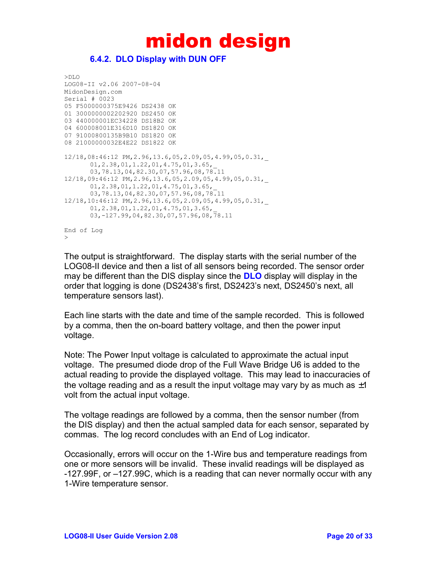### **6.4.2. DLO Display with DUN OFF**

```
>DLO
LOG08-II v2.06 2007-08-04
MidonDesign.com
Serial # 0023
05 F5000000375E9426 DS2438 OK
01 3000000002202920 DS2450 OK 
03 440000001EC34228 DS18B2 OK
04 600008001E316D10 DS1820 OK
07 91000800135B9B10 DS1820 OK
08 21000000032E4E22 DS1822 OK
12/18,08:46:12 PM,2.96,13.6,05,2.09,05,4.99,05,0.31,_
      01,2.38,01,1.22,01,4.75,01,3.65,_
      03,78.13,04,82.30,07,57.96,08,78.11
12/18,09:46:12 PM,2.96,13.6,05,2.09,05,4.99,05,0.31,_
      01,2.38,01,1.22,01,4.75,01,3.65,_
      03,78.13,04,82.30,07,57.96,08,78.11
12/18,10:46:12 PM,2.96,13.6,05,2.09,05,4.99,05,0.31,_
      01,2.38,01,1.22,01,4.75,01,3.65,_
       03,-127.99,04,82.30,07,57.96,08,78.11
End of Log
>
```
The output is straightforward. The display starts with the serial number of the LOG08-II device and then a list of all sensors being recorded. The sensor order may be different than the DIS display since the **DLO** display will display in the order that logging is done (DS2438's first, DS2423's next, DS2450's next, all temperature sensors last).

Each line starts with the date and time of the sample recorded. This is followed by a comma, then the on-board battery voltage, and then the power input voltage.

Note: The Power Input voltage is calculated to approximate the actual input voltage. The presumed diode drop of the Full Wave Bridge U6 is added to the actual reading to provide the displayed voltage. This may lead to inaccuracies of the voltage reading and as a result the input voltage may vary by as much as  $\pm 1$ volt from the actual input voltage.

The voltage readings are followed by a comma, then the sensor number (from the DIS display) and then the actual sampled data for each sensor, separated by commas. The log record concludes with an End of Log indicator.

Occasionally, errors will occur on the 1-Wire bus and temperature readings from one or more sensors will be invalid. These invalid readings will be displayed as -127.99F, or –127.99C, which is a reading that can never normally occur with any 1-Wire temperature sensor.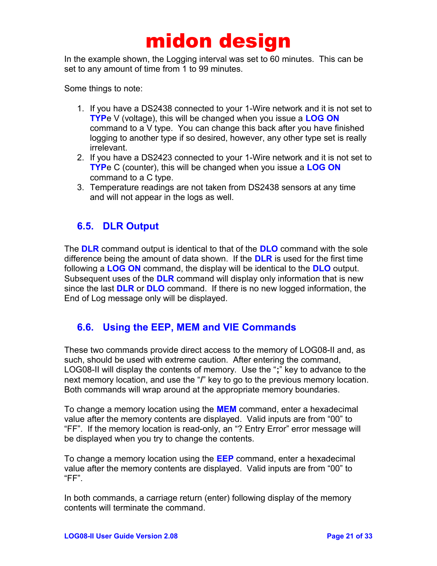In the example shown, the Logging interval was set to 60 minutes. This can be set to any amount of time from 1 to 99 minutes.

Some things to note:

- 1. If you have a DS2438 connected to your 1-Wire network and it is not set to **TYP**e V (voltage), this will be changed when you issue a **LOG ON** command to a V type. You can change this back after you have finished logging to another type if so desired, however, any other type set is really irrelevant.
- 2. If you have a DS2423 connected to your 1-Wire network and it is not set to **TYP**e C (counter), this will be changed when you issue a **LOG ON** command to a C type.
- 3. Temperature readings are not taken from DS2438 sensors at any time and will not appear in the logs as well.

### **6.5. DLR Output**

The **DLR** command output is identical to that of the **DLO** command with the sole difference being the amount of data shown. If the **DLR** is used for the first time following a **LOG ON** command, the display will be identical to the **DLO** output. Subsequent uses of the **DLR** command will display only information that is new since the last **DLR** or **DLO** command. If there is no new logged information, the End of Log message only will be displayed.

### **6.6. Using the EEP, MEM and VIE Commands**

These two commands provide direct access to the memory of LOG08-II and, as such, should be used with extreme caution. After entering the command, LOG08-II will display the contents of memory. Use the "**;**" key to advance to the next memory location, and use the "**/**" key to go to the previous memory location. Both commands will wrap around at the appropriate memory boundaries.

To change a memory location using the **MEM** command, enter a hexadecimal value after the memory contents are displayed. Valid inputs are from "00" to "FF". If the memory location is read-only, an "? Entry Error" error message will be displayed when you try to change the contents.

To change a memory location using the **EEP** command, enter a hexadecimal value after the memory contents are displayed. Valid inputs are from "00" to  $"FF"$ .

In both commands, a carriage return (enter) following display of the memory contents will terminate the command.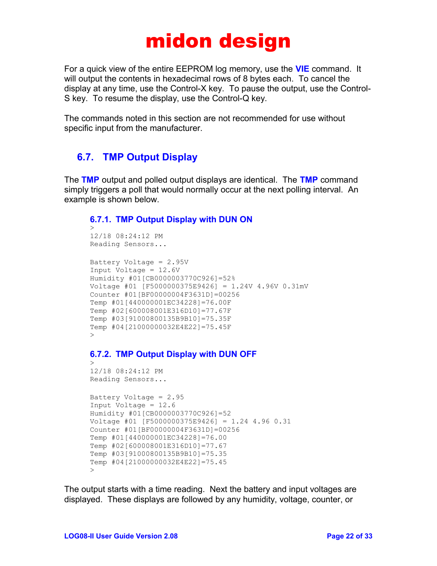For a quick view of the entire EEPROM log memory, use the **VIE** command. It will output the contents in hexadecimal rows of 8 bytes each. To cancel the display at any time, use the Control-X key. To pause the output, use the Control-S key. To resume the display, use the Control-Q key.

The commands noted in this section are not recommended for use without specific input from the manufacturer.

## **6.7. TMP Output Display**

The **TMP** output and polled output displays are identical. The **TMP** command simply triggers a poll that would normally occur at the next polling interval. An example is shown below.

```
6.7.1. TMP Output Display with DUN ON
\rightarrow12/18 08:24:12 PM
Reading Sensors...
Battery Voltage = 2.95V
Input Voltage = 12.6V
Humidity #01[CB0000003770C926]=52%
Voltage #01 [F5000000375E9426] = 1.24V 4.96V 0.31mV
Counter #01[BF00000004F3631D]=00256
Temp #01[440000001EC34228]=76.00F
Temp #02[600008001E316D10]=77.67F
Temp #03[91000800135B9B10]=75.35F
Temp #04[21000000032E4E22]=75.45F
\rightarrow6.7.2. TMP Output Display with DUN OFF
>
12/18 08:24:12 PM
Reading Sensors...
Battery Voltage = 2.95
Input Voltage = 12.6
Humidity #01[CB0000003770C926]=52
Voltage #01 [F5000000375E9426] = 1.24 4.96 0.31
Counter #01[BF00000004F3631D]=00256
Temp #01[440000001EC34228]=76.00
Temp #02[600008001E316D10]=77.67
Temp #03[91000800135B9B10]=75.35
Temp #04[21000000032E4E22]=75.45
>
```
The output starts with a time reading. Next the battery and input voltages are displayed. These displays are followed by any humidity, voltage, counter, or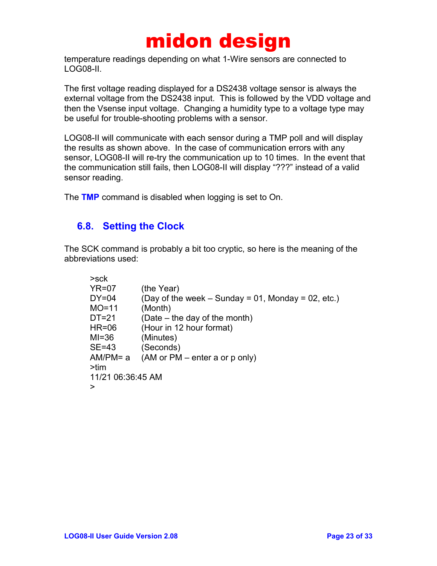temperature readings depending on what 1-Wire sensors are connected to LOG08-II.

The first voltage reading displayed for a DS2438 voltage sensor is always the external voltage from the DS2438 input. This is followed by the VDD voltage and then the Vsense input voltage. Changing a humidity type to a voltage type may be useful for trouble-shooting problems with a sensor.

LOG08-II will communicate with each sensor during a TMP poll and will display the results as shown above. In the case of communication errors with any sensor, LOG08-II will re-try the communication up to 10 times. In the event that the communication still fails, then LOG08-II will display "???" instead of a valid sensor reading.

The **TMP** command is disabled when logging is set to On.

## **6.8. Setting the Clock**

The SCK command is probably a bit too cryptic, so here is the meaning of the abbreviations used:

| > <sub>sck</sub>  |                                                      |
|-------------------|------------------------------------------------------|
| $YR=07$           | (the Year)                                           |
| $DY=04$           | (Day of the week $-$ Sunday = 01, Monday = 02, etc.) |
| $MO=11$           | (Month)                                              |
| $DT=21$           | (Date – the day of the month)                        |
| $HR=06$           | (Hour in 12 hour format)                             |
| $MI=36$           | (Minutes)                                            |
| $SE = 43$         | (Seconds)                                            |
| $AM/PM = a$       | (AM or PM – enter a or p only)                       |
| >tim              |                                                      |
| 11/21 06:36:45 AM |                                                      |
| $\geq$            |                                                      |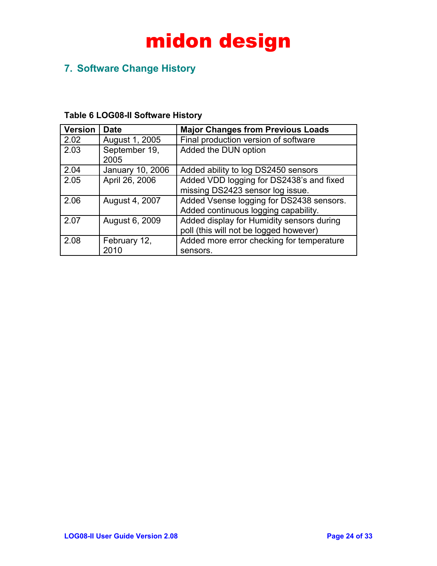## **7. Software Change History**

| <b>Version</b> | <b>Date</b>           | <b>Major Changes from Previous Loads</b>                                            |
|----------------|-----------------------|-------------------------------------------------------------------------------------|
| 2.02           | August 1, 2005        | Final production version of software                                                |
| 2.03           | September 19,<br>2005 | Added the DUN option                                                                |
| 2.04           | January 10, 2006      | Added ability to log DS2450 sensors                                                 |
| 2.05           | April 26, 2006        | Added VDD logging for DS2438's and fixed<br>missing DS2423 sensor log issue.        |
| 2.06           | August 4, 2007        | Added Vsense logging for DS2438 sensors.<br>Added continuous logging capability.    |
| 2.07           | August 6, 2009        | Added display for Humidity sensors during<br>poll (this will not be logged however) |
| 2.08           | February 12,<br>2010  | Added more error checking for temperature<br>sensors.                               |

### **Table 6 LOG08-II Software History**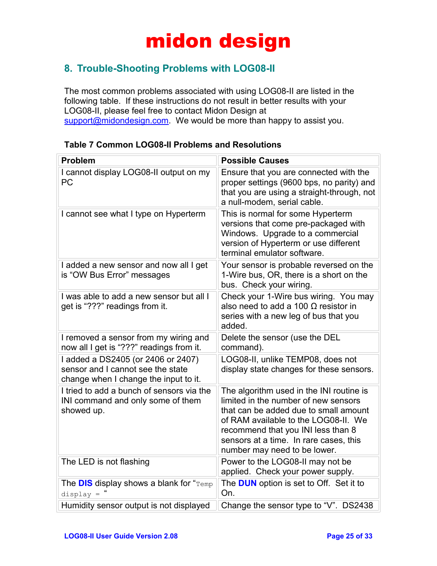## **8. Trouble-Shooting Problems with LOG08-II**

The most common problems associated with using LOG08-II are listed in the following table. If these instructions do not result in better results with your LOG08-II, please feel free to contact Midon Design at [support@midondesign.com.](mailto:support@midondesign.com) We would be more than happy to assist you.

| <b>Problem</b>                                                                                                   | <b>Possible Causes</b>                                                                                                                                                                                                                                                            |
|------------------------------------------------------------------------------------------------------------------|-----------------------------------------------------------------------------------------------------------------------------------------------------------------------------------------------------------------------------------------------------------------------------------|
| I cannot display LOG08-II output on my<br>PC                                                                     | Ensure that you are connected with the<br>proper settings (9600 bps, no parity) and<br>that you are using a straight-through, not<br>a null-modem, serial cable.                                                                                                                  |
| I cannot see what I type on Hyperterm                                                                            | This is normal for some Hyperterm<br>versions that come pre-packaged with<br>Windows. Upgrade to a commercial<br>version of Hyperterm or use different<br>terminal emulator software.                                                                                             |
| I added a new sensor and now all I get<br>is "OW Bus Error" messages                                             | Your sensor is probable reversed on the<br>1-Wire bus, OR, there is a short on the<br>bus. Check your wiring.                                                                                                                                                                     |
| I was able to add a new sensor but all I<br>get is "???" readings from it.                                       | Check your 1-Wire bus wiring. You may<br>also need to add a 100 $\Omega$ resistor in<br>series with a new leg of bus that you<br>added.                                                                                                                                           |
| I removed a sensor from my wiring and<br>now all I get is "???" readings from it.                                | Delete the sensor (use the DEL<br>command).                                                                                                                                                                                                                                       |
| I added a DS2405 (or 2406 or 2407)<br>sensor and I cannot see the state<br>change when I change the input to it. | LOG08-II, unlike TEMP08, does not<br>display state changes for these sensors.                                                                                                                                                                                                     |
| I tried to add a bunch of sensors via the<br>INI command and only some of them<br>showed up.                     | The algorithm used in the INI routine is<br>limited in the number of new sensors<br>that can be added due to small amount<br>of RAM available to the LOG08-II. We<br>recommend that you INI less than 8<br>sensors at a time. In rare cases, this<br>number may need to be lower. |
| The LED is not flashing                                                                                          | Power to the LOG08-II may not be<br>applied. Check your power supply.                                                                                                                                                                                                             |
| The $DIS$ display shows a blank for " $Temp$<br>$display$ =                                                      | The <b>DUN</b> option is set to Off. Set it to<br>On.                                                                                                                                                                                                                             |
| Humidity sensor output is not displayed                                                                          | Change the sensor type to "V". DS2438                                                                                                                                                                                                                                             |

### **Table 7 Common LOG08-II Problems and Resolutions**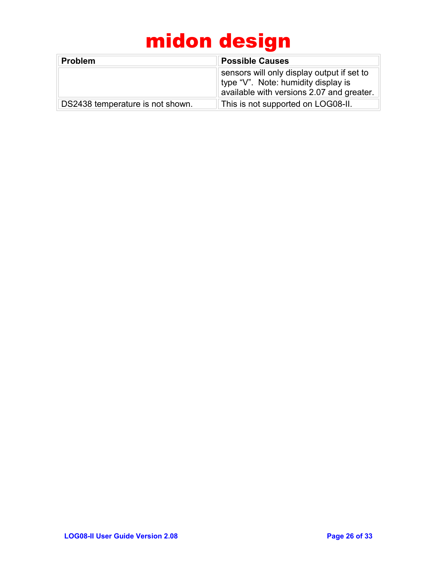| <b>Problem</b>                   | <b>Possible Causes</b>                                                                                                         |
|----------------------------------|--------------------------------------------------------------------------------------------------------------------------------|
|                                  | sensors will only display output if set to<br>type "V". Note: humidity display is<br>available with versions 2.07 and greater. |
| DS2438 temperature is not shown. | This is not supported on LOG08-II.                                                                                             |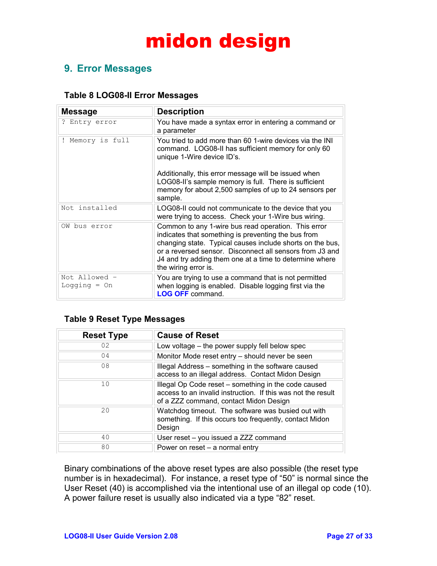## **9. Error Messages**

#### **Table 8 LOG08-II Error Messages**

| <b>Message</b>                  | Description                                                                                                                                                                                                                                                                                                            |
|---------------------------------|------------------------------------------------------------------------------------------------------------------------------------------------------------------------------------------------------------------------------------------------------------------------------------------------------------------------|
| ? Entry error                   | You have made a syntax error in entering a command or<br>a parameter                                                                                                                                                                                                                                                   |
| Memory is full                  | You tried to add more than 60 1-wire devices via the INI<br>command. LOG08-II has sufficient memory for only 60<br>unique 1-Wire device ID's.<br>Additionally, this error message will be issued when<br>LOG08-II's sample memory is full. There is sufficient                                                         |
|                                 | memory for about 2,500 samples of up to 24 sensors per<br>sample.                                                                                                                                                                                                                                                      |
| Not installed                   | LOG08-II could not communicate to the device that you<br>were trying to access. Check your 1-Wire bus wiring.                                                                                                                                                                                                          |
| OW bus error                    | Common to any 1-wire bus read operation. This error<br>indicates that something is preventing the bus from<br>changing state. Typical causes include shorts on the bus,<br>or a reversed sensor. Disconnect all sensors from J3 and<br>J4 and try adding them one at a time to determine where<br>the wiring error is. |
| Not Allowed -<br>Logging $=$ On | You are trying to use a command that is not permitted<br>when logging is enabled. Disable logging first via the<br><b>LOG OFF command.</b>                                                                                                                                                                             |

### **Table 9 Reset Type Messages**

| <b>Reset Type</b> | <b>Cause of Reset</b>                                                                                                                                          |
|-------------------|----------------------------------------------------------------------------------------------------------------------------------------------------------------|
| 02                | Low voltage – the power supply fell below spec                                                                                                                 |
| 04                | Monitor Mode reset entry - should never be seen                                                                                                                |
| 08                | Illegal Address - something in the software caused<br>access to an illegal address. Contact Midon Design                                                       |
| 10                | Illegal Op Code reset – something in the code caused<br>access to an invalid instruction. If this was not the result<br>of a ZZZ command, contact Midon Design |
| 20                | Watchdog timeout. The software was busied out with<br>something. If this occurs too frequently, contact Midon<br>Design                                        |
| 40                | User reset - you issued a ZZZ command                                                                                                                          |
| 80                | Power on reset - a normal entry                                                                                                                                |

Binary combinations of the above reset types are also possible (the reset type number is in hexadecimal). For instance, a reset type of "50" is normal since the User Reset (40) is accomplished via the intentional use of an illegal op code (10). A power failure reset is usually also indicated via a type "82" reset.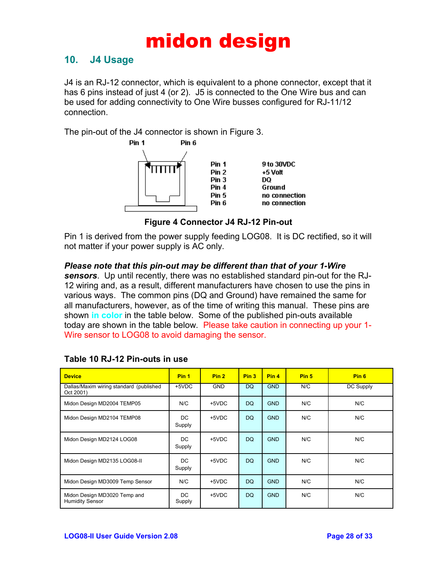### **10. J4 Usage**

J4 is an RJ-12 connector, which is equivalent to a phone connector, except that it has 6 pins instead of just 4 (or 2). J5 is connected to the One Wire bus and can be used for adding connectivity to One Wire busses configured for RJ-11/12 connection.

The pin-out of the J4 connector is shown in Figure 3.



**Figure 4 Connector J4 RJ-12 Pin-out**

Pin 1 is derived from the power supply feeding LOG08. It is DC rectified, so it will not matter if your power supply is AC only.

#### *Please note that this pin-out may be different than that of your 1-Wire*

*sensors*. Up until recently, there was no established standard pin-out for the RJ-12 wiring and, as a result, different manufacturers have chosen to use the pins in various ways. The common pins (DQ and Ground) have remained the same for all manufacturers, however, as of the time of writing this manual. These pins are shown **in color** in the table below. Some of the published pin-outs available today are shown in the table below. Please take caution in connecting up your 1- Wire sensor to LOG08 to avoid damaging the sensor.

| <b>Device</b>                                          | Pin <sub>1</sub> | Pin <sub>2</sub> | Pin <sub>3</sub> | Pin <sub>4</sub> | Pin <sub>5</sub> | Pin <sub>6</sub> |
|--------------------------------------------------------|------------------|------------------|------------------|------------------|------------------|------------------|
| Dallas/Maxim wiring standard (published<br>Oct 2001)   | +5VDC            | <b>GND</b>       | <b>DQ</b>        | <b>GND</b>       | N/C              | DC Supply        |
| Midon Design MD2004 TEMP05                             | N/C              | +5VDC            | <b>DQ</b>        | <b>GND</b>       | N/C              | N/C              |
| Midon Design MD2104 TEMP08                             | DC.<br>Supply    | +5VDC            | <b>DQ</b>        | <b>GND</b>       | N/C              | N/C              |
| Midon Design MD2124 LOG08                              | DC.<br>Supply    | +5VDC            | <b>DQ</b>        | <b>GND</b>       | N/C              | N/C              |
| Midon Design MD2135 LOG08-II                           | DC.<br>Supply    | +5VDC            | <b>DQ</b>        | <b>GND</b>       | N/C              | N/C              |
| Midon Design MD3009 Temp Sensor                        | N/C              | +5VDC            | <b>DQ</b>        | <b>GND</b>       | N/C              | N/C              |
| Midon Design MD3020 Temp and<br><b>Humidity Sensor</b> | DC.<br>Supply    | +5VDC            | <b>DQ</b>        | <b>GND</b>       | N/C              | N/C              |

### **Table 10 RJ-12 Pin-outs in use**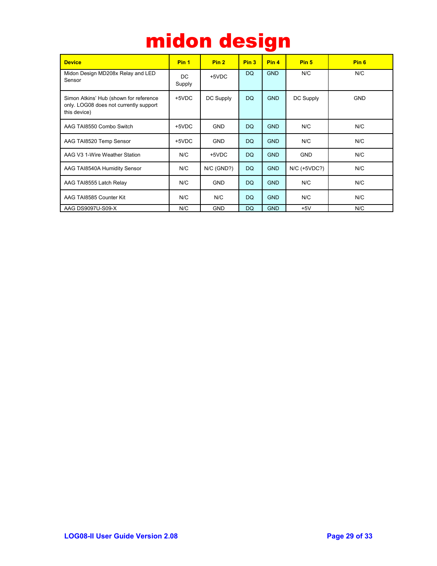| midon design |  |  |  |  |  |  |
|--------------|--|--|--|--|--|--|
|--------------|--|--|--|--|--|--|

| <b>Device</b>                                                                                    | Pin <sub>1</sub> | Pin <sub>2</sub> | Pin <sub>3</sub> | Pin <sub>4</sub> | Pin <sub>5</sub> | Pin <sub>6</sub> |
|--------------------------------------------------------------------------------------------------|------------------|------------------|------------------|------------------|------------------|------------------|
| Midon Design MD208x Relay and LED<br>Sensor                                                      | DC.<br>Supply    | +5VDC            | DQ.              | <b>GND</b>       | N/C              | N/C              |
| Simon Atkins' Hub (shown for reference<br>only. LOG08 does not currently support<br>this device) | +5VDC            | DC Supply        | <b>DQ</b>        | <b>GND</b>       | DC Supply        | <b>GND</b>       |
| AAG TAI8550 Combo Switch                                                                         | +5VDC            | <b>GND</b>       | <b>DQ</b>        | <b>GND</b>       | N/C              | N/C              |
| AAG TAI8520 Temp Sensor                                                                          | +5VDC            | <b>GND</b>       | <b>DQ</b>        | <b>GND</b>       | N/C              | N/C              |
| AAG V3 1-Wire Weather Station                                                                    | N/C              | +5VDC            | <b>DQ</b>        | <b>GND</b>       | <b>GND</b>       | N/C              |
| AAG TAI8540A Humidity Sensor                                                                     | N/C              | $N/C$ (GND?)     | <b>DQ</b>        | <b>GND</b>       | N/C (+5VDC?)     | N/C              |
| AAG TAI8555 Latch Relay                                                                          | N/C              | <b>GND</b>       | <b>DQ</b>        | <b>GND</b>       | N/C              | N/C              |
| AAG TAI8585 Counter Kit                                                                          | N/C              | N/C              | <b>DQ</b>        | <b>GND</b>       | N/C              | N/C              |
| AAG DS9097U-S09-X                                                                                | N/C              | <b>GND</b>       | DQ               | <b>GND</b>       | $+5V$            | N/C              |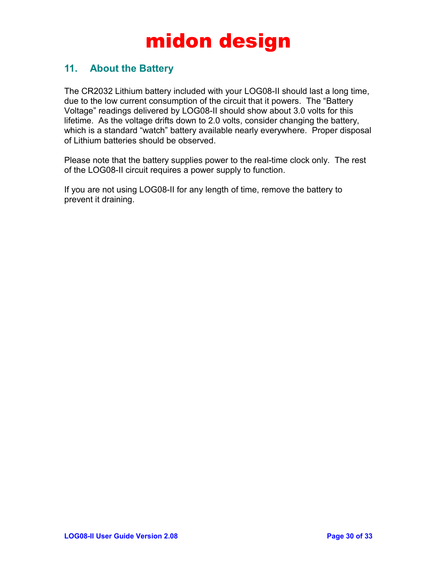## **11. About the Battery**

The CR2032 Lithium battery included with your LOG08-II should last a long time, due to the low current consumption of the circuit that it powers. The "Battery Voltage" readings delivered by LOG08-II should show about 3.0 volts for this lifetime. As the voltage drifts down to 2.0 volts, consider changing the battery, which is a standard "watch" battery available nearly everywhere. Proper disposal of Lithium batteries should be observed.

Please note that the battery supplies power to the real-time clock only. The rest of the LOG08-II circuit requires a power supply to function.

If you are not using LOG08-II for any length of time, remove the battery to prevent it draining.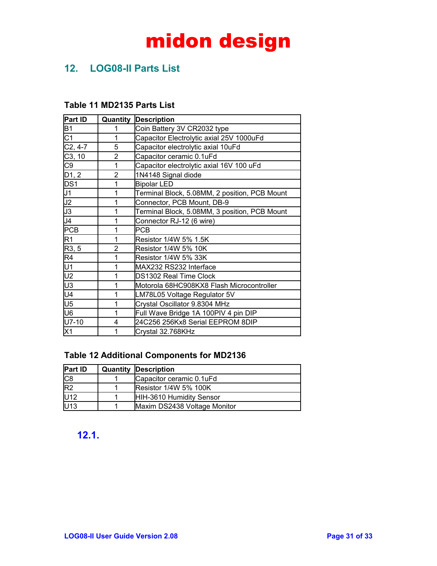## **12. LOG08-II Parts List**

#### **Table 11 MD2135 Parts List**

| Part ID            | Quantity       | <b>Description</b>                            |
|--------------------|----------------|-----------------------------------------------|
| B1                 | 1              | Coin Battery 3V CR2032 type                   |
| C <sub>1</sub>     | 1              | Capacitor Electrolytic axial 25V 1000uFd      |
| $C2, 4-7$          | 5              | Capacitor electrolytic axial 10uFd            |
| C3, 10             | $\overline{2}$ | Capacitor ceramic 0.1uFd                      |
| C9                 | 1              | Capacitor electrolytic axial 16V 100 uFd      |
| D <sub>1</sub> , 2 | 2              | 1N4148 Signal diode                           |
| DS <sub>1</sub>    | 1              | <b>Bipolar LED</b>                            |
| J1                 | 1              | Terminal Block, 5.08MM, 2 position, PCB Mount |
| J2                 | 1              | Connector, PCB Mount, DB-9                    |
| J3                 | 1              | Terminal Block, 5.08MM, 3 position, PCB Mount |
| J4                 | 1              | Connector RJ-12 (6 wire)                      |
| <b>PCB</b>         | 1              | PCB                                           |
| R1                 | 1              | Resistor 1/4W 5% 1.5K                         |
| R3, 5              | 2              | Resistor 1/4W 5% 10K                          |
| R4                 | 1              | Resistor 1/4W 5% 33K                          |
| U1                 | 1              | MAX232 RS232 Interface                        |
| U <sub>2</sub>     | 1              | DS1302 Real Time Clock                        |
| U3                 | 1              | Motorola 68HC908KX8 Flash Microcontroller     |
| U4                 | 1              | LM78L05 Voltage Regulator 5V                  |
| U <sub>5</sub>     | 1              | Crystal Oscillator 9.8304 MHz                 |
| U6                 | 1              | Full Wave Bridge 1A 100PIV 4 pin DIP          |
| U7-10              | 4              | 24C256 256Kx8 Serial EEPROM 8DIP              |
| X1                 | 1              | Crystal 32.768KHz                             |

### **Table 12 Additional Components for MD2136**

| <b>Part ID</b> | <b>Quantity Description</b>     |
|----------------|---------------------------------|
| C <sub>8</sub> | Capacitor ceramic 0.1uFd        |
| R <sub>2</sub> | <b>Resistor 1/4W 5% 100K</b>    |
| U12            | <b>HIH-3610 Humidity Sensor</b> |
| <b>U13</b>     | Maxim DS2438 Voltage Monitor    |

### **12.1.**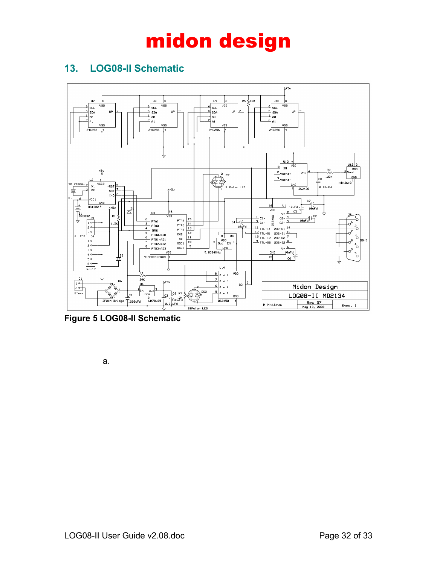## **13. LOG08-II Schematic**



**Figure 5 LOG08-II Schematic**

a.